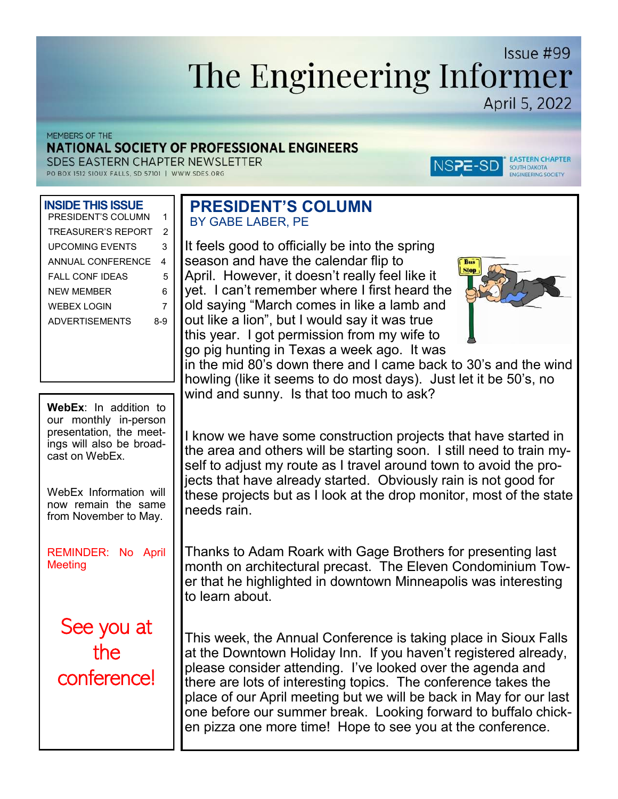# Issue #99 The Engineering Informer April 5, 2022

MEMBERS OF THE

## NATIONAL SOCIETY OF PROFESSIONAL ENGINEERS

SDES EASTERN CHAPTER NEWSLETTER

PO BOX 1512 SIOUX FALLS, SD 57101 | WWW.SDES.ORG

## **INSIDE THIS ISSUE**

| PRESIDENT'S COLUMN        | 1   |
|---------------------------|-----|
| <b>TREASURER'S REPORT</b> | 2   |
| UPCOMING EVENTS           | 3   |
| ANNUAL CONFERENCE         | 4   |
| <b>FAIL CONF IDFAS</b>    | 5   |
| NFW MFMBFR                | 6   |
| WFBFX I OGIN              | 7   |
| ADVERTISEMENTS            | 8-9 |
|                           |     |

**WebEx**: In addition to our monthly in-person presentation, the meetings will also be broadcast on WebEx.

WebEx Information will now remain the same from November to May.

REMINDER: No April **Meeting** 

See you at the conference!

## **PRESIDENT'S COLUMN** BY GABE LABER, PE

It feels good to officially be into the spring season and have the calendar flip to April. However, it doesn't really feel like it yet. I can't remember where I first heard the old saying "March comes in like a lamb and out like a lion", but I would say it was true this year. I got permission from my wife to go pig hunting in Texas a week ago. It was



NSPE-SD

**EASTERN CHAPTER** 

SOUTH DAKOTA<br>ENGINEERING SOCIETY

in the mid 80's down there and I came back to 30's and the wind howling (like it seems to do most days). Just let it be 50's, no wind and sunny. Is that too much to ask?

I know we have some construction projects that have started in the area and others will be starting soon. I still need to train myself to adjust my route as I travel around town to avoid the projects that have already started. Obviously rain is not good for these projects but as I look at the drop monitor, most of the state needs rain.

Thanks to Adam Roark with Gage Brothers for presenting last month on architectural precast. The Eleven Condominium Tower that he highlighted in downtown Minneapolis was interesting to learn about.

This week, the Annual Conference is taking place in Sioux Falls at the Downtown Holiday Inn. If you haven't registered already, please consider attending. I've looked over the agenda and there are lots of interesting topics. The conference takes the place of our April meeting but we will be back in May for our last one before our summer break. Looking forward to buffalo chicken pizza one more time! Hope to see you at the conference.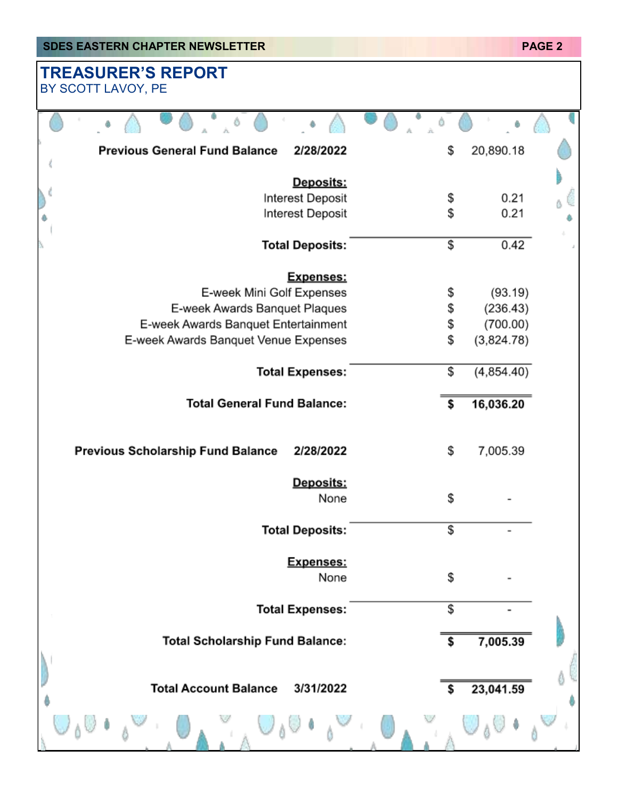| <b>SDES EASTERN CHAPTER NEWSLETTER</b>            |                  | <b>PAGE 2</b> |
|---------------------------------------------------|------------------|---------------|
| <b>TREASURER'S REPORT</b><br>BY SCOTT LAVOY, PE   |                  |               |
|                                                   |                  |               |
| <b>Previous General Fund Balance</b><br>2/28/2022 | \$<br>20,890.18  |               |
| Deposits:                                         |                  |               |
| Interest Deposit                                  | \$<br>0.21       |               |
| Interest Deposit                                  | \$<br>0.21       |               |
| <b>Total Deposits:</b>                            | \$<br>0.42       |               |
| Expenses:                                         |                  |               |
| E-week Mini Golf Expenses                         | \$<br>(93.19)    |               |
| E-week Awards Banquet Plaques                     | \$<br>(236.43)   |               |
| E-week Awards Banquet Entertainment               | \$<br>(700.00)   |               |
| E-week Awards Banquet Venue Expenses              | \$<br>(3,824.78) |               |
| <b>Total Expenses:</b>                            | \$<br>(4,854.40) |               |
| <b>Total General Fund Balance:</b>                | \$<br>16,036.20  |               |
| Previous Scholarship Fund Balance<br>2/28/2022    | \$<br>7,005.39   |               |
| Deposits:<br>None                                 | \$               |               |
| <b>Total Deposits:</b>                            | \$               |               |
| Expenses:<br>None                                 | \$               |               |
| <b>Total Expenses:</b>                            | \$               |               |
| <b>Total Scholarship Fund Balance:</b>            | \$<br>7,005.39   |               |
| <b>Total Account Balance</b><br>3/31/2022         | \$<br>23,041.59  |               |
|                                                   |                  |               |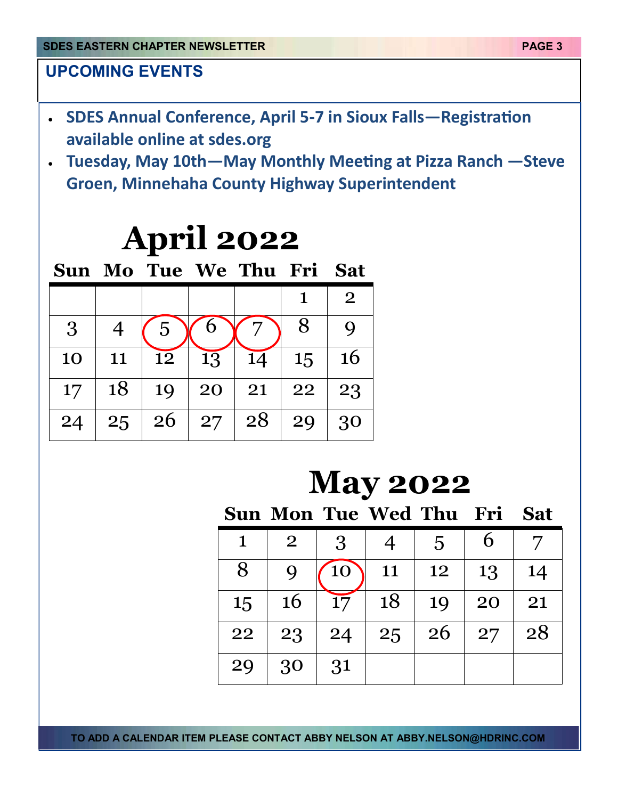## **UPCOMING EVENTS**

- **SDES Annual Conference, April 5-7 in Sioux Falls—Registration available online at sdes.org**
- **Tuesday, May 10th—May Monthly Meeting at Pizza Ranch —Steve Groen, Minnehaha County Highway Superintendent**

| <b>April 2022</b> |                |    |    |                           |             |                |
|-------------------|----------------|----|----|---------------------------|-------------|----------------|
|                   |                |    |    | Sun Mo Tue We Thu Fri Sat |             |                |
|                   |                |    |    |                           | $\mathbf 1$ | $\overline{2}$ |
| 3                 | $\overline{4}$ | 5  |    |                           | 8           | $\mathbf Q$    |
| 10                | 11             | 12 | 13 | 14                        | 15          | 16             |
| 17                | 18             | 19 | 20 | 21                        | 22          | 23             |
| 24                | 25             | 26 | 27 | 28                        | 29          | 30             |

# **May 2022**

|             | Sun Mon Tue Wed Thu Fri |     |    |                |    | <b>Sat</b> |
|-------------|-------------------------|-----|----|----------------|----|------------|
| $\mathbf 1$ | $\overline{2}$          | 3   |    | $\overline{5}$ |    |            |
| 8           |                         | 10  | 11 | 12             | 13 | 14         |
| 15          | <b>16</b>               | 17  | 18 | 19             | 20 | 21         |
| 22          | 23                      | -24 | 25 | 26             | 27 | 28         |
| 29          | 30                      | 31  |    |                |    |            |

**TO ADD A CALENDAR ITEM PLEASE CONTACT ABBY NELSON AT ABBY.NELSON@HDRINC.COM**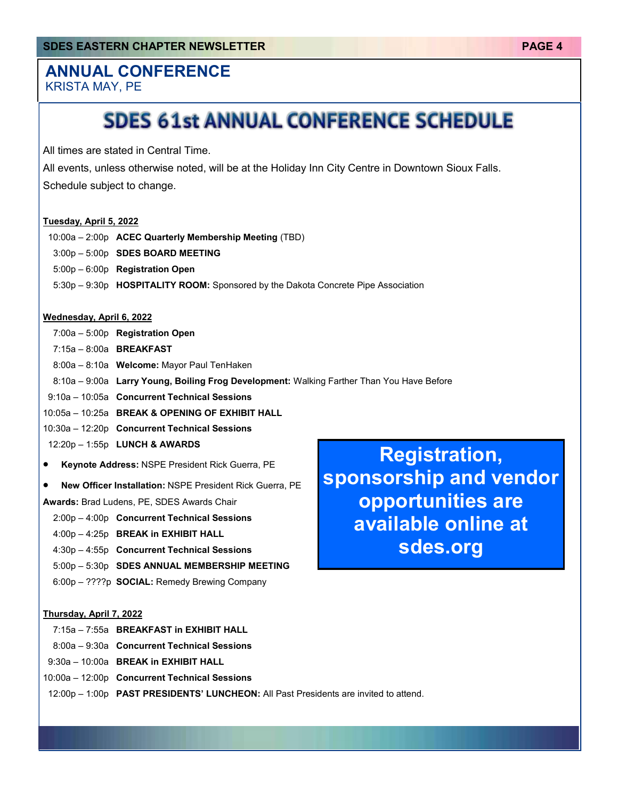# **ANNUAL CONFERENCE**

KRISTA MAY, PE

# **SDES 61st ANNUAL CONFERENCE SCHEDULE**

All times are stated in Central Time.

 All events, unless otherwise noted, will be at the Holiday Inn City Centre in Downtown Sioux Falls. Schedule subject to change.

## **Tuesday, April 5, 2022**

- 10:00a 2:00p **ACEC Quarterly Membership Meeting** (TBD)
- 3:00p 5:00p **SDES BOARD MEETING**
- 5:00p 6:00p **Registration Open**
- 5:30p 9:30p **HOSPITALITY ROOM:** Sponsored by the Dakota Concrete Pipe Association

### **Wednesday, April 6, 2022**

7:00a – 5:00p **Registration Open**

7:15a – 8:00a **BREAKFAST**

- 8:00a 8:10a **Welcome:** Mayor Paul TenHaken
- 8:10a 9:00a **Larry Young, Boiling Frog Development:** Walking Farther Than You Have Before

9:10a – 10:05a **Concurrent Technical Sessions**

- 10:05a 10:25a **BREAK & OPENING OF EXHIBIT HALL**
- 10:30a 12:20p **Concurrent Technical Sessions**
- 12:20p 1:55p **LUNCH & AWARDS**
- **Keynote Address:** NSPE President Rick Guerra, PE
- **New Officer Installation:** NSPE President Rick Guerra, PE

**Awards:** Brad Ludens, PE, SDES Awards Chair

- 2:00p 4:00p **Concurrent Technical Sessions**
- 4:00p 4:25p **BREAK in EXHIBIT HALL**
- 4:30p 4:55p **Concurrent Technical Sessions**
- 5:00p 5:30p **SDES ANNUAL MEMBERSHIP MEETING**
- 6:00p ????p **SOCIAL:** Remedy Brewing Company

## **Thursday, April 7, 2022**

- 7:15a 7:55a **BREAKFAST in EXHIBIT HALL**
- 8:00a 9:30a **Concurrent Technical Sessions**
- 9:30a 10:00a **BREAK in EXHIBIT HALL**
- 10:00a 12:00p **Concurrent Technical Sessions**
- 12:00p 1:00p **PAST PRESIDENTS' LUNCHEON:** All Past Presidents are invited to attend.

**Registration, sponsorship and vendor opportunities are available online at sdes.org**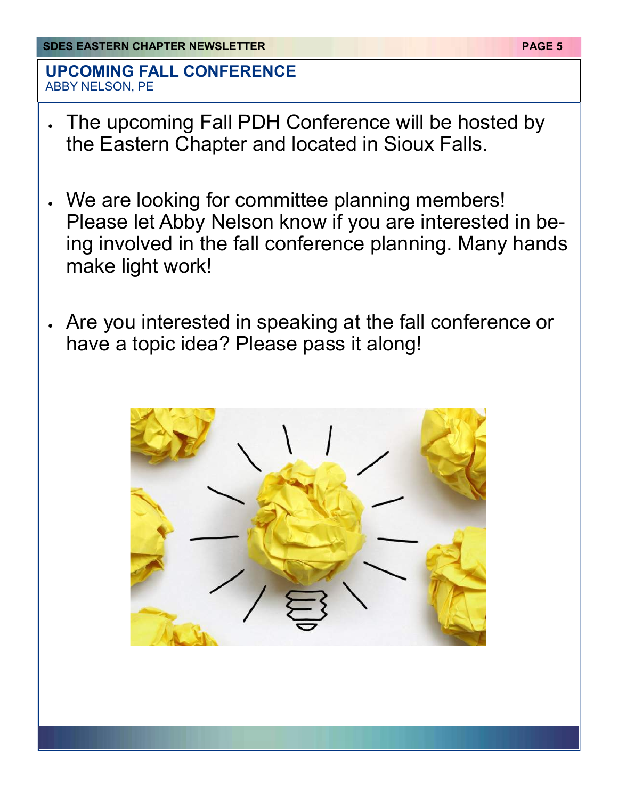## **UPCOMING FALL CONFERENCE**  ABBY NELSON, PE

- The upcoming Fall PDH Conference will be hosted by the Eastern Chapter and located in Sioux Falls.
- We are looking for committee planning members! Please let Abby Nelson know if you are interested in being involved in the fall conference planning. Many hands make light work!
- Are you interested in speaking at the fall conference or have a topic idea? Please pass it along!

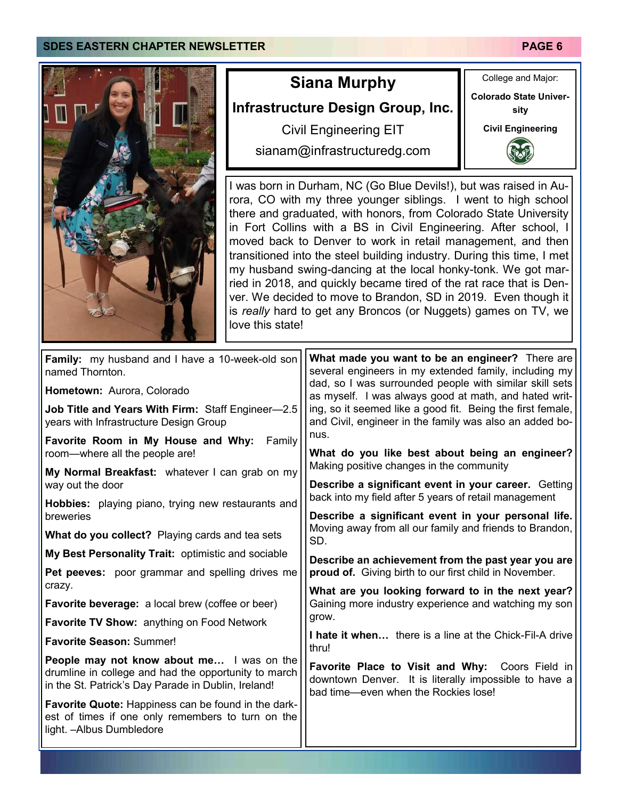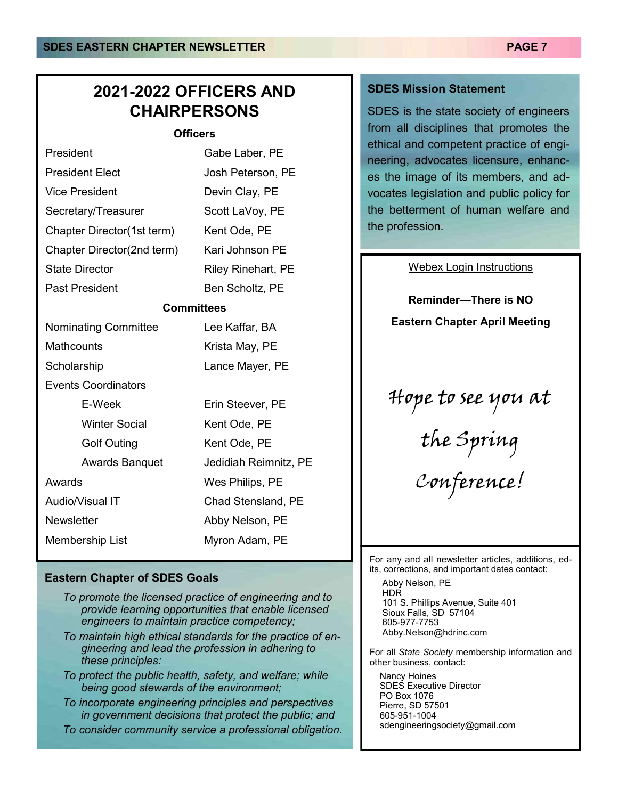## **2021-2022 OFFICERS AND CHAIRPERSONS**

### **Officers**

| President                   | Gabe Laber, PE            |  |  |
|-----------------------------|---------------------------|--|--|
| <b>President Elect</b>      | Josh Peterson, PE         |  |  |
| <b>Vice President</b>       | Devin Clay, PE            |  |  |
| Secretary/Treasurer         | Scott LaVoy, PE           |  |  |
| Chapter Director(1st term)  | Kent Ode, PE              |  |  |
| Chapter Director(2nd term)  | Kari Johnson PE           |  |  |
| <b>State Director</b>       | <b>Riley Rinehart, PE</b> |  |  |
| <b>Past President</b>       | Ben Scholtz, PE           |  |  |
|                             | <b>Committees</b>         |  |  |
| <b>Nominating Committee</b> | Lee Kaffar, BA            |  |  |
| Mathcounts                  | Krista May, PE            |  |  |
| Scholarship                 | Lance Mayer, PE           |  |  |
| <b>Events Coordinators</b>  |                           |  |  |
| E-Week                      | Erin Steever, PE          |  |  |
| <b>Winter Social</b>        | Kent Ode, PE              |  |  |
| <b>Golf Outing</b>          | Kent Ode, PE              |  |  |
| <b>Awards Banquet</b>       | Jedidiah Reimnitz, PE     |  |  |
| Awards                      | Wes Philips, PE           |  |  |
| Audio/Visual IT             | Chad Stensland, PE        |  |  |
| <b>Newsletter</b>           | Abby Nelson, PE           |  |  |
| <b>Membership List</b>      | Myron Adam, PE            |  |  |

## **Eastern Chapter of SDES Goals**

- *To promote the licensed practice of engineering and to provide learning opportunities that enable licensed engineers to maintain practice competency;*
- *To maintain high ethical standards for the practice of engineering and lead the profession in adhering to these principles:*
- *To protect the public health, safety, and welfare; while being good stewards of the environment;*
- *To incorporate engineering principles and perspectives in government decisions that protect the public; and*
- *To consider community service a professional obligation.*

## **SDES Mission Statement**

SDES is the state society of engineers from all disciplines that promotes the ethical and competent practice of engineering, advocates licensure, enhances the image of its members, and advocates legislation and public policy for the betterment of human welfare and the profession.

### Webex Login Instructions

**Reminder—There is NO Eastern Chapter April Meeting**

# Hope to see you at

the Spring

Conference!

For any and all newsletter articles, additions, edits, corrections, and important dates contact:

 Abby Nelson, PE HDR 101 S. Phillips Avenue, Suite 401 Sioux Falls, SD 57104 605-977-7753 Abby.Nelson@hdrinc.com

For all *State Society* membership information and other business, contact:

 Nancy Hoines SDES Executive Director PO Box 1076 Pierre, SD 57501 605-951-1004 sdengineeringsociety@gmail.com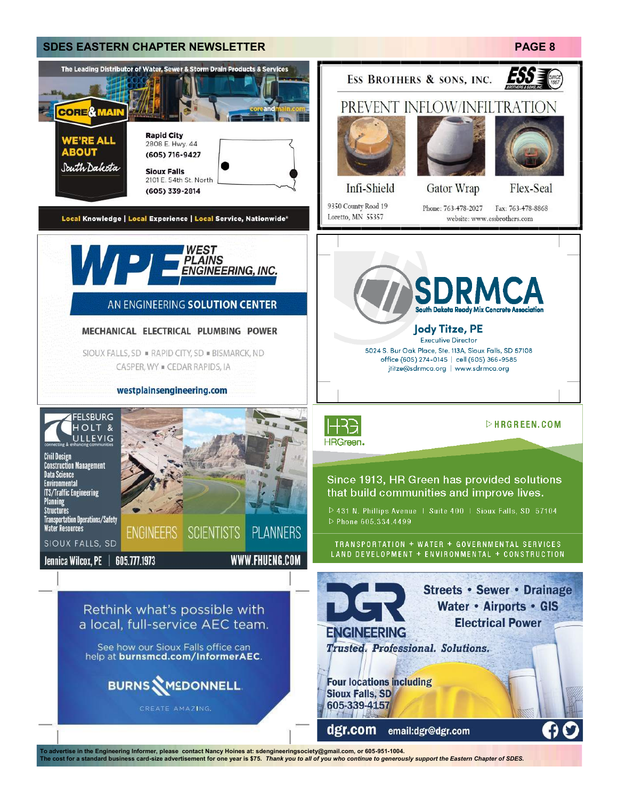

To advertise in the Engineering Informer, please contact Nancy Hoines at: sdengineeringsociety@gmail.com, or 605-951-1004.<br>The cost for a standard business card-size advertisement for one year is \$75. *Thank you to all of*